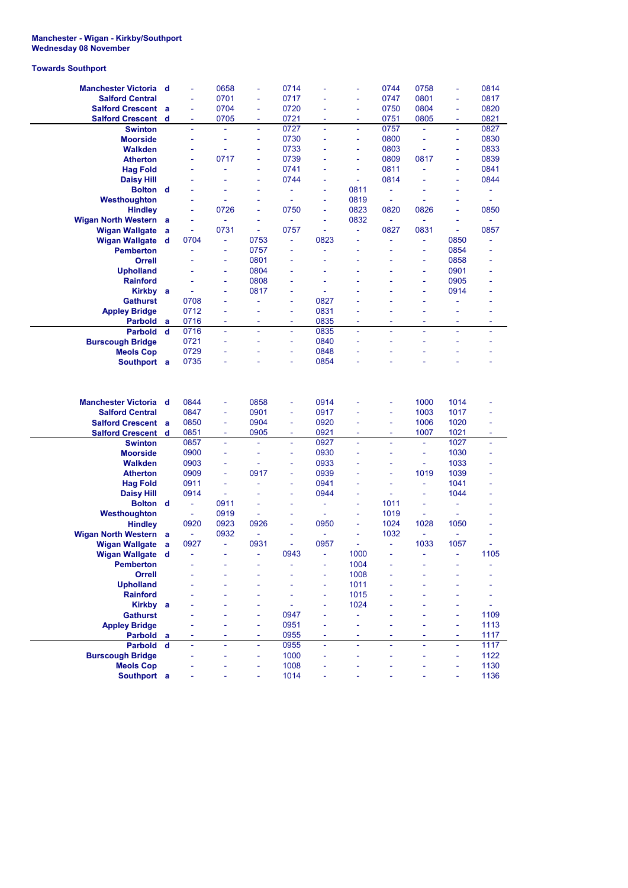## **Manchester - Wigan - Kirkby/Southport Wednesday 08 November**

## **Towards Southport**

| Manchester Victoria d                                                        |          |                          |                       |                      |               |                          |                          |              |                          |                          |      |
|------------------------------------------------------------------------------|----------|--------------------------|-----------------------|----------------------|---------------|--------------------------|--------------------------|--------------|--------------------------|--------------------------|------|
|                                                                              |          | ä,                       | 0658                  | ä,                   | 0714          |                          | L                        | 0744         | 0758                     | L,                       | 0814 |
| <b>Salford Central</b>                                                       |          | ä,                       | 0701                  | ä,                   | 0717          |                          | L,                       | 0747         | 0801                     | L,                       | 0817 |
| <b>Salford Crescent</b>                                                      | - a      | ä,                       | 0704                  | ä,                   | 0720          |                          | L,                       | 0750         | 0804                     | ä,                       | 0820 |
| <b>Salford Crescent</b>                                                      | d        | ÷                        | 0705                  | Ξ                    | 0721          | $\overline{\phantom{a}}$ | $\overline{\phantom{a}}$ | 0751         | 0805                     | $\overline{\phantom{a}}$ | 0821 |
| <b>Swinton</b>                                                               |          | ä,                       | $\tilde{\phantom{a}}$ | ٠                    | 0727          | ä,                       | ä,                       | 0757         | $\sim$                   | $\sim$                   | 0827 |
| <b>Moorside</b>                                                              |          | ÷                        | ÷                     | L,                   | 0730          | ä,                       | ä,                       | 0800         | ä,                       | ä,                       | 0830 |
| <b>Walkden</b>                                                               |          |                          | ä,                    | ä,                   | 0733          |                          | L,                       | 0803         |                          | ä,                       | 0833 |
| <b>Atherton</b>                                                              |          | ä,                       | 0717                  | ä,                   | 0739          |                          | L,                       | 0809         | 0817                     | ÷                        | 0839 |
| <b>Hag Fold</b>                                                              |          | ä,                       | ÷                     | ä,                   | 0741          | ٠                        | ä,                       | 0811         | ÷                        | ä,                       | 0841 |
| <b>Daisy Hill</b>                                                            |          |                          | ÷                     | ä,                   | 0744          |                          | $\sim$                   | 0814         |                          | ÷,                       | 0844 |
| <b>Bolton</b> d                                                              |          | L,                       | ä,                    | ä,                   | ÷,            | ä,                       | 0811                     | ÷,           |                          | ÷                        | ÷,   |
| Westhoughton                                                                 |          |                          | ä,                    |                      | ÷,            | ÷                        | 0819                     | ä,           | ÷                        | ÷,                       | ÷    |
| <b>Hindley</b>                                                               |          | ä,                       | 0726                  | ä,                   | 0750          | ä,                       | 0823                     | 0820         | 0826                     | ä,                       | 0850 |
| <b>Wigan North Western</b> a                                                 |          | ÷                        | ÷,                    | ÷                    | ÷             | ÷,                       | 0832                     | ÷,           | ÷,                       | $\sim$                   | ä,   |
| <b>Wigan Wallgate</b>                                                        |          | ÷                        | 0731                  | ÷,                   | 0757          | ÷                        | ÷.                       | 0827         | 0831                     | $\blacksquare$           | 0857 |
|                                                                              | a        | 0704                     |                       | 0753                 | ÷,            | 0823                     | L                        | ä,           |                          | 0850                     | ä,   |
| <b>Wigan Wallgate</b>                                                        | - d      |                          | ä,                    |                      |               |                          |                          |              | ÷,                       |                          |      |
| <b>Pemberton</b>                                                             |          |                          | ÷                     | 0757                 | ٠             |                          |                          |              | ÷                        | 0854                     |      |
| Orrell                                                                       |          |                          | ÷                     | 0801                 | ä,            |                          |                          |              | ÷                        | 0858                     |      |
| <b>Upholland</b>                                                             |          |                          | ÷                     | 0804                 | ä,            | Ē,                       |                          |              | ÷                        | 0901                     |      |
| <b>Rainford</b>                                                              |          |                          | ä,                    | 0808                 | ä,            |                          |                          |              | ÷,                       | 0905                     |      |
| <b>Kirkby</b>                                                                | <b>a</b> | ÷                        | ÷                     | 0817                 | ÷             |                          |                          |              | ÷                        | 0914                     |      |
| <b>Gathurst</b>                                                              |          | 0708                     | ä,                    | ä,                   | ÷             | 0827                     |                          |              |                          | $\overline{\phantom{a}}$ |      |
| <b>Appley Bridge</b>                                                         |          | 0712                     |                       |                      | ÷             | 0831                     |                          |              |                          | ÷,                       |      |
| <b>Parbold</b>                                                               | a        | 0716                     | ÷                     | ٠                    | ÷             | 0835                     | $\sim$                   | ٠            | ٠                        | $\sim$                   | ۰    |
| <b>Parbold</b>                                                               | d        | 0716                     | ÷                     | ä,                   | ä,            | 0835                     | ÷                        | ÷            | ÷                        | ÷                        | ä,   |
| <b>Burscough Bridge</b>                                                      |          | 0721                     |                       | L,                   | ÷,            | 0840                     |                          | ä,           |                          | L,                       | ÷    |
| <b>Meols Cop</b>                                                             |          | 0729                     |                       |                      | ÷             | 0848                     |                          |              |                          |                          |      |
| Southport a                                                                  |          | 0735                     |                       |                      | ä,            | 0854                     |                          |              |                          |                          |      |
| Manchester Victoria d<br><b>Salford Central</b><br><b>Salford Crescent a</b> |          | 0844<br>0847<br>0850     | ÷<br>÷<br>÷           | 0858<br>0901<br>0904 | ÷<br>÷,<br>÷, | 0914<br>0917<br>0920     |                          | ۰<br>÷<br>÷, | 1000<br>1003<br>1006     | 1014<br>1017<br>1020     |      |
| <b>Salford Crescent</b>                                                      | d        | 0851                     |                       | 0905                 | ÷             | 0921                     | ٠                        | ÷,           | 1007                     | 1021                     | ä,   |
| <b>Swinton</b>                                                               |          |                          | ÷                     |                      |               |                          |                          |              |                          |                          |      |
|                                                                              |          | 0857                     | ä,                    | ä,                   | ä,            | 0927                     | ÷,                       | ä,           | ÷,                       | 1027                     | ä,   |
| <b>Moorside</b>                                                              |          | 0900                     | ÷                     | ۳                    | ÷             | 0930                     | $\overline{a}$           | ۰            | ÷                        | 1030                     | ä,   |
| <b>Walkden</b>                                                               |          | 0903                     | ä,                    | L,                   | ÷             | 0933                     |                          |              | ÷,                       | 1033                     |      |
| <b>Atherton</b>                                                              |          | 0909                     | ÷                     | 0917                 | ÷,            | 0939                     |                          | ä,           | 1019                     | 1039                     |      |
| <b>Hag Fold</b>                                                              |          | 0911                     |                       |                      | ÷             | 0941                     |                          |              | L,                       | 1041                     |      |
| <b>Daisy Hill</b>                                                            |          | 0914                     | ä,                    |                      | ÷             | 0944                     | L                        |              | ä,                       | 1044                     |      |
| <b>Bolton</b> d                                                              |          | ÷                        | 0911                  |                      | ٠             | ÷                        | ä,                       | 1011         | ÷                        | $\blacksquare$           |      |
| Westhoughton                                                                 |          | $\overline{\phantom{a}}$ | 0919                  | ä,                   | ä,            | ÷,                       | L                        | 1019         | $\overline{\phantom{a}}$ | $\bar{a}$                |      |
| <b>Hindley</b>                                                               |          | 0920                     | 0923                  | 0926                 | ÷             | 0950                     | ä,                       | 1024         | 1028                     | 1050                     |      |
| <b>Wigan North Western</b>                                                   | a        | $\overline{\phantom{a}}$ | 0932                  |                      |               |                          | $\overline{a}$           | 1032         | $\overline{\phantom{a}}$ | $\bar{a}$                |      |
| <b>Wigan Wallgate</b>                                                        | a        | 0927                     | ÷.                    | 0931                 | ä,            | 0957                     | L                        | ä,           | 1033                     | 1057                     |      |
| Wigan Wallgate d                                                             |          |                          |                       |                      | 0943          |                          | 1000                     |              |                          |                          | 1105 |
| <b>Pemberton</b>                                                             |          |                          |                       |                      |               |                          | 1004                     |              |                          |                          |      |
| <b>Orrell</b>                                                                |          |                          |                       |                      |               | ۰                        | 1008                     |              |                          |                          |      |
| <b>Upholland</b>                                                             |          |                          |                       |                      |               |                          | 1011                     |              |                          |                          |      |
| <b>Rainford</b>                                                              |          |                          |                       |                      |               |                          | 1015                     |              |                          |                          |      |
| Kirkby a                                                                     |          |                          |                       |                      | ä,            |                          | 1024                     |              |                          |                          |      |
| <b>Gathurst</b>                                                              |          |                          |                       |                      | 0947          |                          | ä,                       |              |                          |                          | 1109 |
| <b>Appley Bridge</b>                                                         |          |                          |                       | ä,                   | 0951          |                          | L                        |              |                          | $\sim$                   | 1113 |
| Parbold a                                                                    |          |                          |                       | u,                   | 0955          | ä,                       |                          |              |                          | $\sim$                   | 1117 |
| Parbold d                                                                    |          | ä,                       | ä,                    | ä,                   | 0955          | ä,                       | ÷,                       | ä,           | ä,                       | $\omega$                 | 1117 |
| <b>Burscough Bridge</b>                                                      |          |                          |                       | ä,                   | 1000          | ä,                       |                          | ÷,           |                          | $\overline{\phantom{a}}$ | 1122 |
| <b>Meols Cop</b>                                                             |          |                          |                       |                      | 1008          |                          |                          |              |                          |                          | 1130 |
| Southport a                                                                  |          |                          |                       | ä,                   | 1014          |                          |                          |              |                          | ä,                       | 1136 |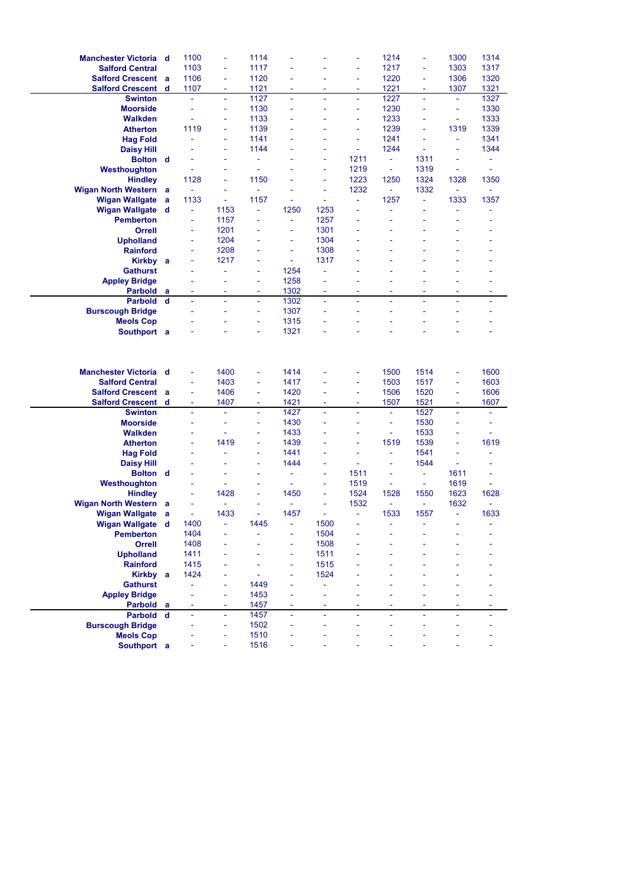| <b>Manchester Victoria</b> d           |        | 1100                     |                     | 1114         |      |                     |      | 1214                     |                | 1300                     | 1314 |
|----------------------------------------|--------|--------------------------|---------------------|--------------|------|---------------------|------|--------------------------|----------------|--------------------------|------|
| <b>Salford Central</b>                 |        | 1103                     | ä,                  | 1117         |      |                     | ä,   | 1217                     | ä,             | 1303                     | 1317 |
| <b>Salford Crescent a</b>              |        | 1106                     | ÷                   | 1120         |      |                     |      | 1220                     | ÷              | 1306                     | 1320 |
| <b>Salford Crescent</b>                | d      | 1107                     | ٠                   | 1121         |      |                     | ۰    | 1221                     | ٠              | 1307                     | 1321 |
| <b>Swinton</b>                         |        | ä,                       | $\bar{\phantom{a}}$ | 1127         | ä,   | $\bar{\phantom{a}}$ | ÷,   | 1227                     | ä,             | ÷.                       | 1327 |
| <b>Moorside</b>                        |        | ä,                       | ÷,                  | 1130         | ä,   |                     | ä,   | 1230                     |                | ÷                        | 1330 |
|                                        |        | ä,                       | ä,                  |              |      |                     | ä,   | 1233                     |                |                          |      |
| <b>Walkden</b>                         |        |                          |                     | 1133         |      |                     |      |                          |                | ä,                       | 1333 |
| <b>Atherton</b>                        |        | 1119                     | ÷                   | 1139         |      |                     |      | 1239                     |                | 1319                     | 1339 |
| <b>Hag Fold</b>                        |        | L,                       | ä,                  | 1141         |      |                     | ä,   | 1241                     |                | ä,                       | 1341 |
| <b>Daisy Hill</b>                      |        |                          | ÷                   | 1144         |      | ÷                   | ÷,   | 1244                     | ÷              | $\overline{\phantom{a}}$ | 1344 |
| <b>Bolton</b> d                        |        |                          | L                   |              |      | ä,                  | 1211 | $\bar{\phantom{a}}$      | 1311           | L,                       | ä,   |
| Westhoughton                           |        | ä,                       | ä,                  | ٠            |      | ÷                   | 1219 | $\Box$                   | 1319           | ÷                        | ٠    |
| <b>Hindley</b>                         |        | 1128                     | ÷                   | 1150         |      | ÷                   | 1223 | 1250                     | 1324           | 1328                     | 1350 |
| <b>Wigan North Western</b>             | a      | ÷                        | ٠                   | ä,           |      | ä,                  | 1232 | $\omega$                 | 1332           | $\blacksquare$           | u,   |
| <b>Wigan Wallgate</b>                  | a      | 1133                     | $\blacksquare$      | 1157         | ÷    | $\blacksquare$      | ÷,   | 1257                     | ä,             | 1333                     | 1357 |
| <b>Wigan Wallgate</b>                  | d      | ÷                        | 1153                |              | 1250 | 1253                |      |                          |                | L,                       |      |
| <b>Pemberton</b>                       |        | $\overline{\phantom{a}}$ | 1157                | ٠            | ÷,   | 1257                |      |                          |                |                          |      |
| Orrell                                 |        | ۰                        | 1201                |              | ÷,   | 1301                |      |                          |                |                          |      |
| <b>Upholland</b>                       |        | ÷,                       | 1204                |              | ä,   | 1304                |      |                          |                |                          |      |
| <b>Rainford</b>                        |        | ÷                        | 1208                |              | ÷    | 1308                |      |                          |                |                          |      |
| Kirkby a                               |        | ä,                       | 1217                |              | ä,   | 1317                |      |                          |                |                          |      |
| <b>Gathurst</b>                        |        |                          | ä,                  | ä,           | 1254 | ÷,                  |      |                          |                |                          |      |
| <b>Appley Bridge</b>                   |        |                          |                     | ÷            | 1258 | ÷                   |      |                          |                |                          |      |
| <b>Parbold</b>                         | a      | $\overline{\phantom{a}}$ | ۰                   | ÷            | 1302 | ٠                   | ۰    | ٠                        | ٠              | ÷                        | ۰    |
| <b>Parbold</b>                         | d      | ä,                       | ä,                  | ä,           | 1302 | ä,                  | ä,   | ä,                       | ä,             | ä,                       | ä,   |
| <b>Burscough Bridge</b>                |        |                          | L                   | ÷,           | 1307 | ä,                  |      |                          |                | L,                       |      |
| <b>Meols Cop</b>                       |        |                          |                     | ä,           | 1315 |                     |      |                          |                |                          |      |
| Southport a                            |        |                          |                     | ä,           | 1321 |                     |      |                          |                |                          |      |
|                                        |        |                          |                     |              |      |                     |      |                          |                |                          |      |
|                                        |        |                          |                     |              |      |                     |      |                          |                |                          |      |
| Manchester Victoria d                  |        | ä,                       | 1400                | ÷            | 1414 |                     | ä,   | 1500                     | 1514           | ä,                       | 1600 |
| <b>Salford Central</b>                 |        | ÷                        | 1403                | ÷            | 1417 |                     | ÷,   | 1503                     | 1517           | ÷,                       | 1603 |
| <b>Salford Crescent</b>                | a      | ÷                        | 1406                | ä,           | 1420 |                     | ä,   | 1506                     | 1520           | ÷,                       | 1606 |
| <b>Salford Crescent</b>                | d      | $\overline{\phantom{a}}$ | 1407                | ÷            | 1421 | ÷                   | ÷,   | 1507                     | 1521           | $\overline{\phantom{a}}$ | 1607 |
| <b>Swinton</b>                         |        | ä,                       |                     | ä,           | 1427 | ä,                  |      | $\sim$                   | 1527           | ä,                       |      |
| <b>Moorside</b>                        |        | ä,                       | ä,                  | ä,           | 1430 | ä,                  | ä,   | $\overline{\phantom{a}}$ | 1530           | ä,                       |      |
| <b>Walkden</b>                         |        | ä,                       | ÷                   | ÷            | 1433 |                     | ä,   | $\blacksquare$           | 1533           | ÷                        | ٠    |
| <b>Atherton</b>                        |        |                          | 1419                | ä,           | 1439 |                     |      | 1519                     | 1539           | L,                       | 1619 |
| <b>Hag Fold</b>                        |        |                          | ä,                  | ÷            | 1441 | ä,                  | ä,   | ÷,                       | 1541           | ÷                        | ä,   |
| <b>Daisy Hill</b>                      |        |                          |                     |              | 1444 |                     |      | ä,                       | 1544           | $\blacksquare$           |      |
| <b>Bolton</b> d                        |        |                          | ä,                  | ٠            | ä,   | ÷,                  | 1511 | $\blacksquare$           | ä,             | 1611                     | ä,   |
| Westhoughton                           |        |                          | ÷                   |              | ä,   | ÷                   | 1519 | $\blacksquare$           | $\blacksquare$ | 1619                     | ÷,   |
| <b>Hindley</b>                         |        |                          | 1428                |              | 1450 | ä,                  | 1524 | 1528                     | 1550           | 1623                     | 1628 |
| <b>Wigan North Western</b>             | а      |                          | ÷                   |              |      | ä,                  | 1532 | $\blacksquare$           | ÷              | 1632                     |      |
| <b>Wigan Wallgate</b>                  | a      | ÷                        | 1433                |              | 1457 | ä,                  | ä,   | 1533                     | 1557           | ä,                       | 1633 |
| Wigan Wallgate d                       |        | 1400                     |                     | 1445         |      | 1500                |      |                          |                |                          |      |
| <b>Pemberton</b>                       |        | 1404                     |                     |              | ÷    | 1504                |      |                          |                |                          |      |
| Orrell                                 |        | 1408                     |                     |              |      | 1508                |      |                          |                |                          |      |
| <b>Upholland</b>                       |        | 1411                     |                     |              | ä,   | 1511                |      |                          |                |                          |      |
| <b>Rainford</b>                        |        | 1415                     |                     |              |      | 1515                |      |                          |                |                          |      |
| Kirkby a                               |        | 1424                     |                     |              |      | 1524                |      |                          |                |                          |      |
| <b>Gathurst</b>                        |        |                          | ÷                   | 1449         |      | ÷,                  |      |                          |                |                          |      |
|                                        |        |                          |                     |              |      |                     |      |                          |                |                          |      |
| <b>Appley Bridge</b><br><b>Parbold</b> |        | ÷                        | ÷                   | 1453<br>1457 | ÷    | ä,                  |      |                          |                |                          |      |
|                                        | a<br>d | ä,                       | ä,                  |              | ä,   | ä,                  |      |                          |                |                          |      |
| <b>Parbold</b>                         |        |                          | ÷,                  | 1457<br>1502 |      |                     |      |                          |                |                          |      |
| <b>Burscough Bridge</b>                |        |                          | ÷,                  |              |      |                     |      |                          |                |                          |      |
| <b>Meols Cop</b><br>Southport a        |        |                          |                     | 1510<br>1516 |      |                     |      |                          |                |                          |      |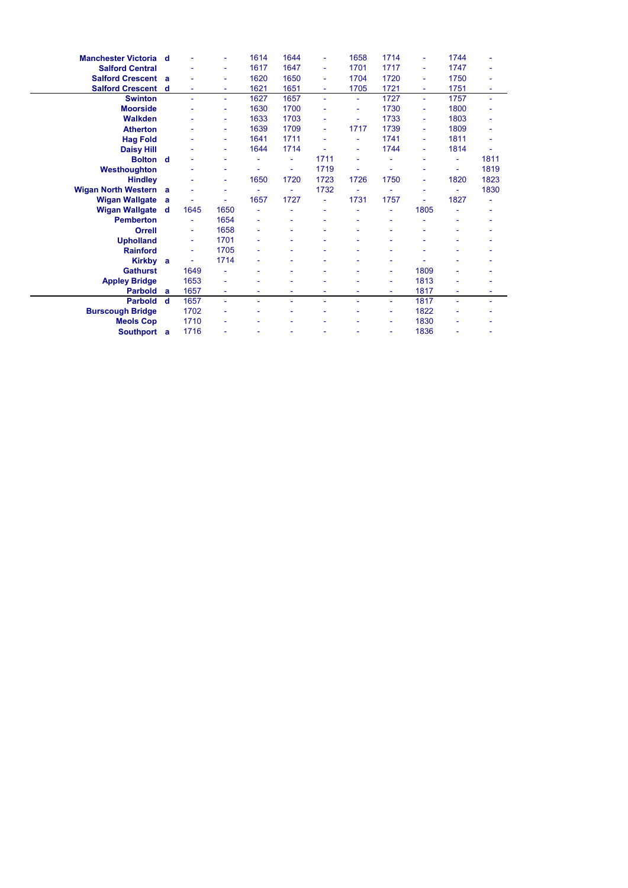| <b>Manchester Victoria</b> d |   |      | ۰    | 1614 | 1644 | ۰    | 1658 | 1714 | ۰    | 1744                     |      |
|------------------------------|---|------|------|------|------|------|------|------|------|--------------------------|------|
| <b>Salford Central</b>       |   |      | ٠    | 1617 | 1647 | ÷    | 1701 | 1717 | ä,   | 1747                     |      |
| <b>Salford Crescent a</b>    |   |      | ۰    | 1620 | 1650 | ۰    | 1704 | 1720 | ۰    | 1750                     |      |
| <b>Salford Crescent</b>      | d |      | ٠    | 1621 | 1651 | ۰    | 1705 | 1721 | ۰    | 1751                     |      |
| <b>Swinton</b>               |   | ٠    | ٠    | 1627 | 1657 | ÷    | ٠    | 1727 | ۰    | 1757                     | ٠    |
| <b>Moorside</b>              |   |      | ۰    | 1630 | 1700 |      |      | 1730 | ۰    | 1800                     |      |
| <b>Walkden</b>               |   |      | ٠    | 1633 | 1703 |      | ÷,   | 1733 | ä,   | 1803                     |      |
| <b>Atherton</b>              |   |      | ٠    | 1639 | 1709 | ۰    | 1717 | 1739 | ۰    | 1809                     |      |
| <b>Hag Fold</b>              |   |      | ۰    | 1641 | 1711 |      |      | 1741 | ۰    | 1811                     |      |
| <b>Daisy Hill</b>            |   |      | ٠    | 1644 | 1714 |      | ٠    | 1744 | ä,   | 1814                     |      |
| <b>Bolton</b> d              |   |      | ٠    | ٠    | ٠    | 1711 | ٠    |      | ۰    | $\overline{\phantom{a}}$ | 1811 |
| Westhoughton                 |   |      |      |      | ٠    | 1719 |      |      |      | ۰                        | 1819 |
| <b>Hindley</b>               |   |      | ٠    | 1650 | 1720 | 1723 | 1726 | 1750 | ä,   | 1820                     | 1823 |
| <b>Wigan North Western</b> a |   |      | ٠    |      | ٠    | 1732 |      |      | ۰    | ٠                        | 1830 |
| <b>Wigan Wallgate</b>        | a |      |      | 1657 | 1727 |      | 1731 | 1757 |      | 1827                     |      |
| <b>Wigan Wallgate</b>        | d | 1645 | 1650 |      |      | ۰    |      |      | 1805 |                          |      |
| <b>Pemberton</b>             |   | ٠    | 1654 |      | ۰    | ۳    |      | ٠    |      | ٠                        |      |
| Orrell                       |   | ٠    | 1658 |      |      |      |      |      |      |                          |      |
| <b>Upholland</b>             |   | ۰    | 1701 |      |      |      |      |      |      |                          |      |
| <b>Rainford</b>              |   | ÷,   | 1705 |      | ۰    |      |      |      |      | ٠                        |      |
| <b>Kirkby</b>                | a |      | 1714 |      |      |      |      |      |      |                          |      |
| <b>Gathurst</b>              |   | 1649 |      |      |      |      |      | ۰    | 1809 | ٠                        |      |
| <b>Appley Bridge</b>         |   | 1653 | ۰    |      |      |      |      | ۰    | 1813 |                          |      |
| <b>Parbold</b>               | a | 1657 | ٠    |      | ۰    |      | ٠    | ۰    | 1817 | ۰                        |      |
| <b>Parbold</b>               | d | 1657 | ÷,   |      |      |      |      | ۰    | 1817 |                          | ۰    |
| <b>Burscough Bridge</b>      |   | 1702 |      |      |      |      |      | ۰    | 1822 |                          |      |
| <b>Meols Cop</b>             |   | 1710 |      |      |      |      |      | ٠    | 1830 |                          |      |
| Southport a                  |   | 1716 |      |      |      |      |      | ۰    | 1836 |                          |      |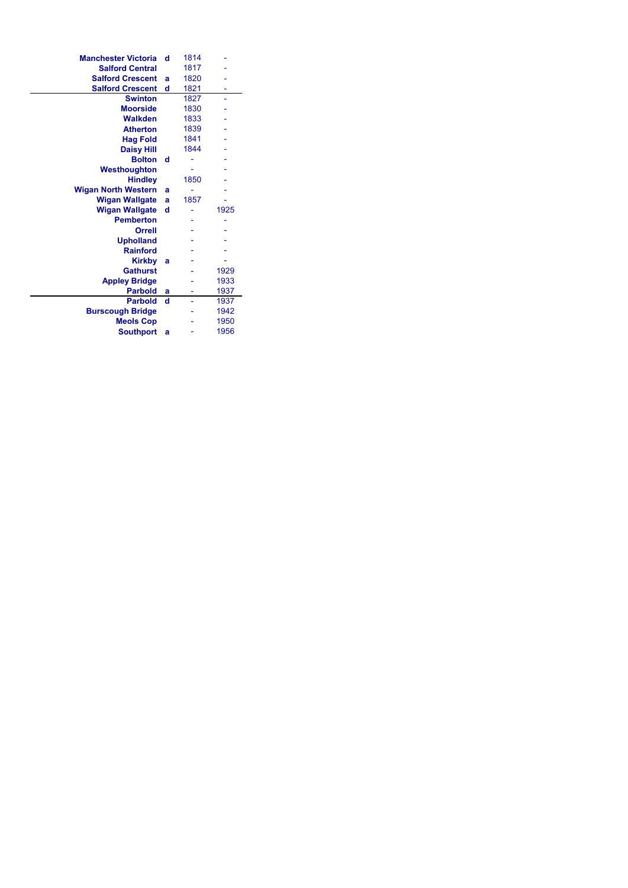| <b>Manchester Victoria</b> | d | 1814 |      |
|----------------------------|---|------|------|
| <b>Salford Central</b>     |   | 1817 |      |
| <b>Salford Crescent</b>    | a | 1820 |      |
| <b>Salford Crescent</b>    | d | 1821 |      |
| <b>Swinton</b>             |   | 1827 | L,   |
| <b>Moorside</b>            |   | 1830 |      |
| <b>Walkden</b>             |   | 1833 |      |
| <b>Atherton</b>            |   | 1839 |      |
| <b>Hag Fold</b>            |   | 1841 |      |
| <b>Daisy Hill</b>          |   | 1844 |      |
| <b>Bolton</b>              | d |      |      |
| Westhoughton               |   |      |      |
| <b>Hindley</b>             |   | 1850 |      |
| <b>Wigan North Western</b> | a |      |      |
| <b>Wigan Wallgate</b>      | a | 1857 |      |
| <b>Wigan Wallgate</b>      | d |      | 1925 |
| <b>Pemberton</b>           |   |      |      |
| Orrell                     |   |      |      |
| <b>Upholland</b>           |   |      |      |
| <b>Rainford</b>            |   |      |      |
| <b>Kirkby</b>              | a |      |      |
| <b>Gathurst</b>            |   |      | 1929 |
| <b>Appley Bridge</b>       |   |      | 1933 |
| <b>Parbold</b>             | a | ۰    | 1937 |
| <b>Parbold</b>             | d |      | 1937 |
| <b>Burscough Bridge</b>    |   |      | 1942 |
| <b>Meols Cop</b>           |   |      | 1950 |
| <b>Southport</b>           | a |      | 1956 |
|                            |   |      |      |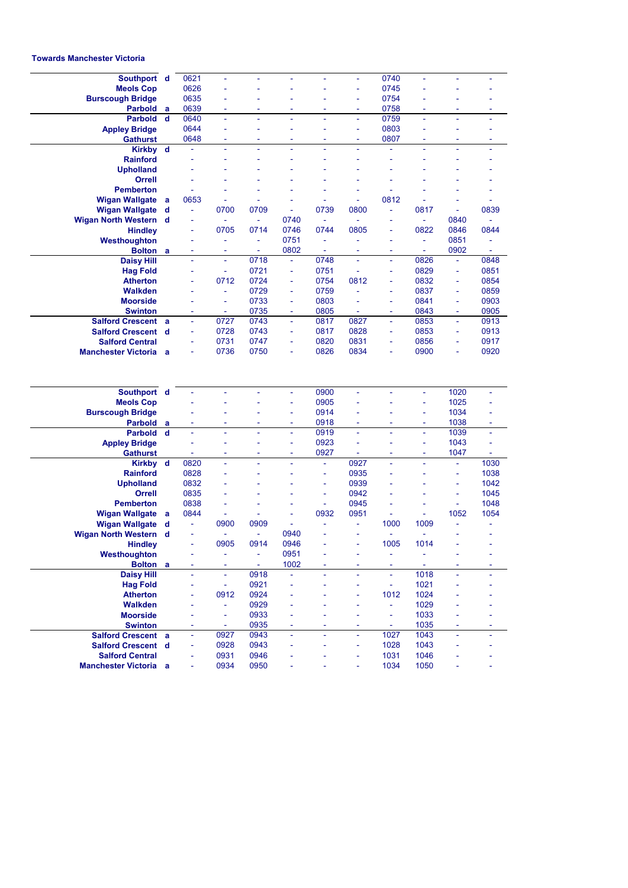## **Towards Manchester Victoria**

| Southport d                                            |          | 0621           | ä,             | ÷              | ä,      | ä,             | $\blacksquare$      | 0740           | L,                  | ä,             | ä,           |
|--------------------------------------------------------|----------|----------------|----------------|----------------|---------|----------------|---------------------|----------------|---------------------|----------------|--------------|
| <b>Meols Cop</b>                                       |          | 0626           |                |                |         |                | ä,                  | 0745           |                     |                |              |
| <b>Burscough Bridge</b>                                |          | 0635           |                |                |         |                |                     | 0754           |                     |                |              |
| Parbold a                                              |          | 0639           |                |                |         |                |                     | 0758           | -                   |                |              |
| Parbold d                                              |          | 0640           |                |                |         |                | ä,                  | 0759           | L                   |                |              |
| <b>Appley Bridge</b>                                   |          | 0644           | ä,             | ٠              | ä,      | Ē,             | ÷                   | 0803           | ä,                  | ÷,             | ÷            |
| <b>Gathurst</b>                                        |          | 0648           |                |                |         |                |                     | 0807           | ۳                   |                |              |
| Kirkby d                                               |          |                | ä,             | ä,             |         | ä,             | $\bar{\phantom{a}}$ | ä,             | L,                  | ä,             |              |
| <b>Rainford</b>                                        |          |                |                |                |         |                |                     |                |                     |                |              |
| <b>Upholland</b>                                       |          |                |                |                |         |                |                     |                |                     |                |              |
| Orrell                                                 |          |                |                |                |         |                |                     |                |                     |                |              |
| <b>Pemberton</b>                                       |          |                |                |                |         |                |                     |                |                     |                |              |
| <b>Wigan Wallgate</b>                                  | a        | 0653           |                |                |         |                | ÷                   | 0812           |                     |                |              |
| <b>Wigan Wallgate</b>                                  | d        | ÷              | 0700           | 0709           | ä,      | 0739           | 0800                | ä,             | 0817                | ÷,             | 0839         |
| <b>Wigan North Western</b>                             | <b>d</b> | ۰              |                | L,             | 0740    | ä,             | $\sim$              |                | L                   | 0840           |              |
| <b>Hindley</b>                                         |          | ÷              | 0705           | 0714           | 0746    | 0744           | 0805                | ٠              | 0822                | 0846           | 0844         |
| Westhoughton                                           |          |                | ä,             | ÷              | 0751    |                |                     |                | ä,                  | 0851           |              |
| Bolton a                                               |          | ٠              | ٠              | ÷,             | 0802    | ÷,             |                     | ÷,             | $\bar{\phantom{a}}$ | 0902           | ä,           |
| <b>Daisy Hill</b>                                      |          | ÷,             | ÷,             | 0718           | ÷,      | 0748           | ÷,                  | Ξ              | 0826                | ä,             | 0848         |
| <b>Hag Fold</b>                                        |          |                | ÷,             | 0721           | ä,      | 0751           |                     | ÷,             | 0829                | ä,             | 0851         |
| <b>Atherton</b>                                        |          | L,             | 0712           | 0724           | ÷       | 0754           | 0812                | ä,             | 0832                | $\blacksquare$ | 0854         |
| <b>Walkden</b>                                         |          |                | ä,             | 0729           | ä,      | 0759           |                     |                | 0837                | ä,             | 0859         |
| <b>Moorside</b>                                        |          |                | ٠              | 0733           | ä,      | 0803           |                     | ä,             | 0841                | ä,             | 0903         |
| <b>Swinton</b>                                         |          |                | ÷              | 0735           | ۰       | 0805           | ä,                  | ä,             | 0843                | ÷              | 0905         |
| <b>Salford Crescent</b>                                | a        | ÷,             | 0727           | 0743           | ä,      | 0817           | 0827                | ä,             | 0853                | ä,             | 0913         |
| <b>Salford Crescent</b>                                | d        | ٠              | 0728           | 0743           | ÷       | 0817           | 0828                | ۰              | 0853                | $\blacksquare$ | 0913         |
| <b>Salford Central</b>                                 |          |                | 0731           | 0747           | ä,      | 0820           | 0831                |                | 0856                | ä,             | 0917         |
| <b>Manchester Victoria</b>                             | a        | ÷              | 0736           | 0750           | ä,      | 0826           | 0834                | ÷,             | 0900                | ä,             | 0920         |
|                                                        |          |                |                |                |         |                |                     |                |                     |                |              |
|                                                        |          |                |                |                |         |                |                     |                |                     |                |              |
| Southport d                                            |          |                |                |                | ä,      | 0900           | ä,                  |                | L,                  | 1020           | ä,           |
| <b>Meols Cop</b>                                       |          |                |                |                | ä,      | 0905           |                     |                | L,                  | 1025           | ä,           |
| <b>Burscough Bridge</b>                                |          |                |                |                | ÷       | 0914           |                     |                | ÷,                  | 1034           |              |
| <b>Parbold</b>                                         | a        |                |                | ٠              | ٠       | 0918           | ٠                   | ۰              | ÷,                  | 1038           | ٠            |
| <b>Parbold</b>                                         | d        | ä,             | ä,             | ä,             | ÷,      | 0919           | $\bar{\phantom{a}}$ | L,             | ä,                  | 1039           | ä,           |
| <b>Appley Bridge</b>                                   |          |                |                | ٠              | ä,<br>٠ | 0923           | ä,<br>÷,            |                | ä,<br>L,            | 1043           | ÷            |
| <b>Gathurst</b>                                        |          |                | ä,             | ÷              | ÷       | 0927           |                     | ä,             | ä,                  | 1047           | ÷,           |
| Kirkby d                                               |          | 0820           |                |                |         | ÷<br>$\bar{a}$ | 0927                |                |                     | ÷,<br>ä,       | 1030         |
| <b>Rainford</b>                                        |          | 0828<br>0832   |                |                |         | ÷              | 0935<br>0939        |                |                     | ÷              | 1038<br>1042 |
| <b>Upholland</b><br>Orrell                             |          | 0835           |                |                |         | ä,             | 0942                |                |                     | L,             | 1045         |
| <b>Pemberton</b>                                       |          | 0838           |                |                |         | ä,             | 0945                |                |                     | ÷,             | 1048         |
| Wigan Wallgate                                         | -a       | 0844           |                |                |         | 0932           | 0951                |                | ۳                   | 1052           | 1054         |
| <b>Wigan Wallgate</b>                                  | d        | $\bar{a}$      | 0900           | 0909           |         |                | $\sim$              | 1000           | 1009                |                |              |
| <b>Wigan North Western</b>                             | d        | $\blacksquare$ | ÷              | ä,             | 0940    |                | $\blacksquare$      | ä,             | L,                  | ä,             |              |
| <b>Hindley</b>                                         |          |                | 0905           | 0914           | 0946    |                |                     | 1005           | 1014                |                |              |
| Westhoughton                                           |          | ÷,             | ÷,             | ÷              | 0951    | ä,             | $\blacksquare$      | ä,             |                     | ÷,             |              |
| Bolton a                                               |          |                | ÷,             | $\blacksquare$ | 1002    |                | ÷                   | ÷.             | ÷                   | ÷              |              |
| <b>Daisy Hill</b>                                      |          | ÷              | ٠              | 0918           | ä,      |                | ä,                  | ٠              | 1018                |                |              |
| <b>Hag Fold</b>                                        |          |                | $\blacksquare$ | 0921           | ä,      |                | ÷,                  | ÷,             | 1021                |                |              |
| <b>Atherton</b>                                        |          | ä,             | 0912           | 0924           |         |                | ä,                  | 1012           | 1024                |                |              |
| <b>Walkden</b>                                         |          | ۳              | $\Box$         | 0929           |         |                | ÷,                  | $\equiv$       | 1029                |                |              |
| <b>Moorside</b>                                        |          | ÷,             | $\equiv$       | 0933           | ä,      |                | ä,                  | ÷.             | 1033                |                |              |
| <b>Swinton</b>                                         |          | ۰              | $\equiv$       | 0935           | ۰       |                | $\sim$              | $\blacksquare$ | 1035                |                |              |
| <b>Salford Crescent a</b>                              |          | ä,             | 0927           | 0943           | ä,      | ä,             | ä,                  | 1027           | 1043                | ä,             | ä,           |
| <b>Salford Crescent d</b>                              |          | ÷,             | 0928           | 0943           |         |                | ÷,                  | 1028           | 1043                |                |              |
| <b>Salford Central</b><br><b>Manchester Victoria</b> a |          | ä,             | 0931<br>0934   | 0946<br>0950   |         |                | $\blacksquare$      | 1031<br>1034   | 1046<br>1050        |                |              |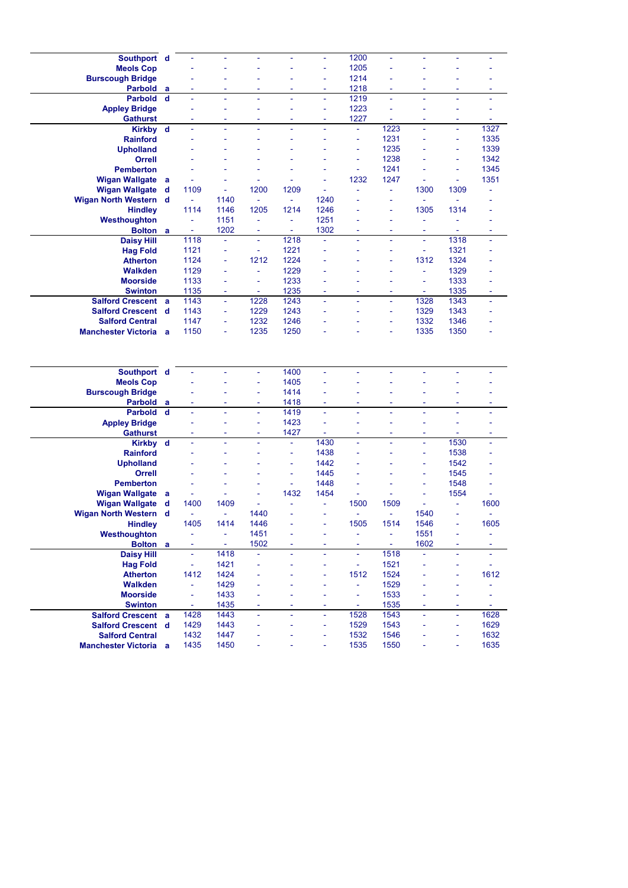| Southport d                                            |   |                          |              |      |                | ä,   | 1200                     | ä,                       |                          |                          | ä,                       |
|--------------------------------------------------------|---|--------------------------|--------------|------|----------------|------|--------------------------|--------------------------|--------------------------|--------------------------|--------------------------|
| <b>Meols Cop</b>                                       |   |                          |              |      |                | ä,   | 1205                     |                          |                          |                          |                          |
| <b>Burscough Bridge</b>                                |   |                          |              |      |                | ä,   | 1214                     |                          |                          |                          |                          |
| Parbold                                                | a |                          |              |      |                |      | 1218                     |                          |                          |                          |                          |
| <b>Parbold</b>                                         | d | ä,                       | L,           | L    |                | ä,   | 1219                     | ä,                       | L                        | ä,                       | ä,                       |
| <b>Appley Bridge</b>                                   |   | ۳                        | ÷            | ۳    | ÷              | ÷    | 1223                     | ٠                        |                          | ÷                        | ۰                        |
| <b>Gathurst</b>                                        |   |                          |              | ÷,   | ä,             | ÷    | 1227                     |                          | L,                       | ÷,                       | ÷                        |
| <b>Kirkby</b>                                          | d | ÷,                       | ÷            | ä,   |                | ä,   | $\blacksquare$           | 1223                     | ä,                       | ä,                       | 1327                     |
| <b>Rainford</b>                                        |   |                          |              |      |                |      | ÷                        | 1231                     |                          | ÷,                       | 1335                     |
|                                                        |   |                          |              |      |                |      | ä,                       | 1235                     |                          | ÷                        | 1339                     |
| <b>Upholland</b>                                       |   |                          |              |      |                |      |                          |                          |                          |                          |                          |
| Orrell                                                 |   |                          |              |      |                | ٠    | ÷,                       | 1238                     |                          | ÷                        | 1342                     |
| <b>Pemberton</b>                                       |   |                          |              |      |                |      | L,                       | 1241                     |                          | ÷                        | 1345                     |
| <b>Wigan Wallgate</b>                                  | a |                          |              |      |                | L,   | 1232                     | 1247                     |                          | ÷,                       | 1351                     |
| <b>Wigan Wallgate</b>                                  | d | 1109                     | ÷            | 1200 | 1209           | ÷    |                          | $\bar{\phantom{a}}$      | 1300                     | 1309                     |                          |
| Wigan North Western d                                  |   | $\blacksquare$           | 1140         | ä,   | ä,             | 1240 |                          | ä,                       | ÷,                       | ä,                       |                          |
| <b>Hindley</b>                                         |   | 1114                     | 1146         | 1205 | 1214           | 1246 |                          | ÷,                       | 1305                     | 1314                     |                          |
| Westhoughton                                           |   | ä,                       | 1151         | ÷,   | ÷,             | 1251 |                          |                          | ä,                       | ä,                       |                          |
| <b>Bolton</b>                                          | a | $\overline{\phantom{a}}$ | 1202         | ٠    | $\blacksquare$ | 1302 | $\overline{\phantom{a}}$ | $\overline{\phantom{a}}$ | ۰                        | ÷                        | ٠                        |
| Daisy Hill                                             |   | 1118                     | ä,           | ÷,   | 1218           | L,   | L,                       | ä,                       | ä,                       | 1318                     | ä,                       |
| <b>Hag Fold</b>                                        |   | 1121                     | ä,           | ÷,   | 1221           | L    |                          |                          | $\bar{\phantom{a}}$      | 1321                     |                          |
| <b>Atherton</b>                                        |   | 1124                     | ä,           | 1212 | 1224           | ä,   |                          | ÷                        | 1312                     | 1324                     |                          |
| <b>Walkden</b>                                         |   | 1129                     |              | ä,   | 1229           |      |                          |                          | ä,                       | 1329                     |                          |
| <b>Moorside</b>                                        |   | 1133                     | ä,           | ä,   | 1233           | ä,   |                          |                          | ä,                       | 1333                     |                          |
| <b>Swinton</b>                                         |   | 1135                     | ä,           | ÷,   | 1235           | ä,   | ä,                       | ٠                        | $\bar{a}$                | 1335                     | ä,                       |
| <b>Salford Crescent</b>                                | a | 1143                     | ä,           | 1228 | 1243           | L,   |                          | ÷,                       | 1328                     | 1343                     | ä,                       |
|                                                        |   |                          |              |      |                | ä,   |                          |                          |                          |                          | L                        |
| <b>Salford Crescent d</b>                              |   | 1143                     | ÷            | 1229 | 1243           |      |                          | ÷                        | 1329                     | 1343                     |                          |
| <b>Salford Central</b>                                 |   | 1147                     | ä,           | 1232 | 1246           |      |                          | ä,                       | 1332                     | 1346                     |                          |
| <b>Manchester Victoria</b> a                           |   | 1150                     | ÷            | 1235 | 1250           |      |                          | ÷                        | 1335                     | 1350                     |                          |
|                                                        |   |                          |              |      |                |      |                          |                          |                          |                          |                          |
| Southport d                                            |   |                          |              | ä,   | 1400           |      |                          |                          |                          |                          |                          |
| <b>Meols Cop</b>                                       |   |                          |              | ÷    | 1405           |      |                          |                          |                          |                          |                          |
| <b>Burscough Bridge</b>                                |   |                          |              |      | 1414           |      |                          |                          |                          |                          |                          |
| <b>Parbold</b>                                         | a |                          |              | ٠    | 1418           | ä,   |                          |                          |                          | ÷,                       |                          |
| <b>Parbold</b>                                         | d | L,                       | L,           | ä,   | 1419           | ä,   | ÷                        | ÷.                       |                          | ä,                       | ä,                       |
| <b>Appley Bridge</b>                                   |   |                          | ä,           | ÷,   | 1423           | ä,   |                          |                          |                          | ä,                       | L                        |
| <b>Gathurst</b>                                        |   | ÷                        | ٠            | ٠    | 1427           | ÷    | $\overline{\phantom{a}}$ | $\sim$                   | $\overline{\phantom{a}}$ | $\overline{\phantom{a}}$ | $\overline{\phantom{a}}$ |
| Kirkby d                                               |   | ä,                       | ä,           | ä,   | $\equiv$       | 1430 | L,                       | ä,                       | ä,                       | 1530                     | ä,                       |
| <b>Rainford</b>                                        |   |                          |              |      | ä,             | 1438 |                          |                          | L,                       | 1538                     |                          |
| <b>Upholland</b>                                       |   |                          |              |      | ÷              | 1442 |                          |                          | i,                       | 1542                     |                          |
| <b>Orrell</b>                                          |   |                          |              |      | ä,             | 1445 |                          |                          | L,                       | 1545                     |                          |
| <b>Pemberton</b>                                       |   |                          |              |      | ÷              | 1448 |                          |                          | L,                       | 1548                     |                          |
| <b>Wigan Wallgate</b>                                  | a |                          | ä,           |      | 1432           | 1454 |                          |                          |                          | 1554                     |                          |
| <b>Wigan Wallgate</b>                                  | d | 1400                     | 1409         |      |                | ä,   | 1500                     | 1509                     |                          |                          | 1600                     |
| Wigan North Western d                                  |   | $\sim$                   | ä,           | 1440 |                | ä,   | $\tilde{\phantom{a}}$    | ÷.                       | 1540                     | ä,                       | Ξ                        |
| <b>Hindley</b>                                         |   | 1405                     | 1414         | 1446 |                |      | 1505                     | 1514                     | 1546                     |                          | 1605                     |
| Westhoughton                                           |   | ÷                        | ÷,           | 1451 | ÷              |      | ÷                        | $\blacksquare$           | 1551                     | ÷                        | ÷                        |
| Bolton a                                               |   |                          | ÷            | 1502 |                |      |                          | $\overline{\phantom{a}}$ | 1602                     |                          |                          |
| <b>Daisy Hill</b>                                      |   | ÷,                       | 1418         | ÷    | ä,             | ä,   | ä,                       | 1518                     |                          | L,                       |                          |
| <b>Hag Fold</b>                                        |   | ÷                        | 1421         |      |                |      | ÷                        | 1521                     |                          | ÷                        | Ξ                        |
| <b>Atherton</b>                                        |   | 1412                     | 1424         |      |                |      | 1512                     | 1524                     |                          | ÷                        | 1612                     |
| <b>Walkden</b>                                         |   | ÷                        |              |      |                | ä,   | ÷                        | 1529                     |                          | ÷                        | ÷,                       |
|                                                        |   | ÷                        | 1429         |      |                |      | $\overline{\phantom{a}}$ |                          |                          |                          | L,                       |
| <b>Moorside</b>                                        |   |                          | 1433         | ٠    |                | ٠    | ÷,                       | 1533                     |                          | ÷,                       | $\equiv$                 |
| <b>Swinton</b>                                         |   | ÷                        | 1435         |      | ä,             |      |                          | 1535                     | ÷,                       | ä,                       |                          |
| <b>Salford Crescent a</b>                              |   | 1428                     | 1443         | ÷    |                | ÷    | 1528                     | 1543                     |                          |                          | 1628                     |
| <b>Salford Crescent d</b>                              |   | 1429                     | 1443         |      |                | ÷,   | 1529                     | 1543                     |                          | ä,                       | 1629                     |
| <b>Salford Central</b><br><b>Manchester Victoria</b> a |   | 1432<br>1435             | 1447<br>1450 |      |                | ÷    | 1532<br>1535             | 1546<br>1550             |                          | ÷                        | 1632<br>1635             |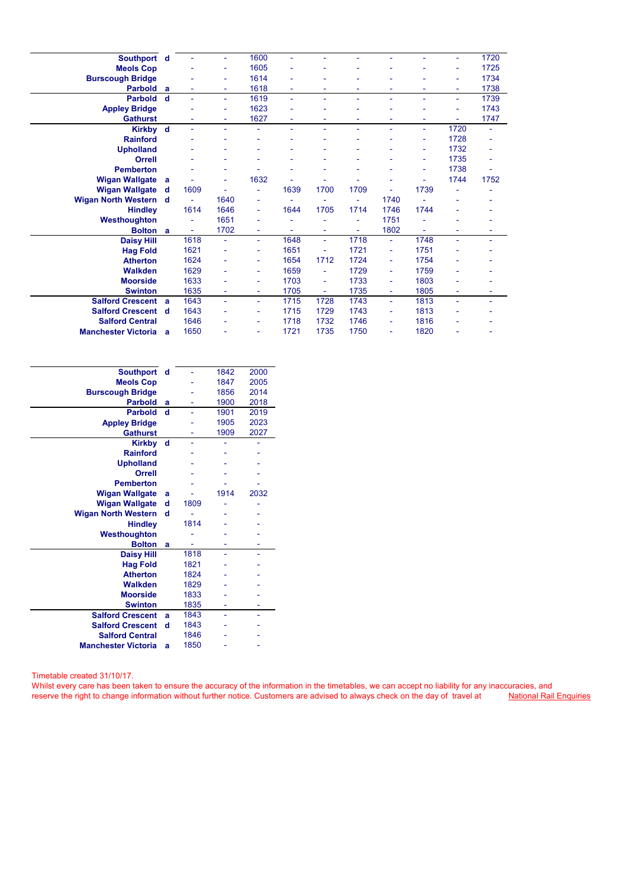| Southport d                  |          |      |      | 1600 | ä,   |                          |      |                          |      |      | 1720 |
|------------------------------|----------|------|------|------|------|--------------------------|------|--------------------------|------|------|------|
| <b>Meols Cop</b>             |          |      |      | 1605 |      |                          |      |                          |      |      | 1725 |
| <b>Burscough Bridge</b>      |          |      | ۰    | 1614 |      |                          |      |                          |      | ٠    | 1734 |
| <b>Parbold</b>               | a        |      |      | 1618 |      |                          |      |                          |      |      | 1738 |
| <b>Parbold</b>               | <b>d</b> | ä,   | ٠    | 1619 | u,   | ä,                       | ٠    |                          | ٠    | ٠    | 1739 |
| <b>Appley Bridge</b>         |          |      |      | 1623 |      |                          |      |                          |      |      | 1743 |
| <b>Gathurst</b>              |          |      |      | 1627 |      |                          |      |                          | ۰    |      | 1747 |
| Kirkby d                     |          | ٠    | ۰    | ä,   | ä,   | ۰                        | ٠    | ä,                       | ۰    | 1720 | ä,   |
| <b>Rainford</b>              |          |      |      |      |      |                          |      |                          | ۰    | 1728 |      |
| <b>Upholland</b>             |          |      |      |      |      |                          |      |                          | ۰    | 1732 |      |
| <b>Orrell</b>                |          |      |      |      |      | ٠                        |      |                          | ۰    | 1735 | ä,   |
| <b>Pemberton</b>             |          |      |      |      |      |                          |      |                          | ۰    | 1738 |      |
| <b>Wigan Wallgate</b>        | a        |      | ۰    | 1632 |      |                          |      |                          | ۳    | 1744 | 1752 |
| <b>Wigan Wallgate</b>        | d        | 1609 |      | ٠    | 1639 | 1700                     | 1709 | ۰                        | 1739 |      |      |
| Wigan North Western d        |          |      | 1640 | ۰    |      |                          |      | 1740                     |      |      |      |
| <b>Hindley</b>               |          | 1614 | 1646 | ÷    | 1644 | 1705                     | 1714 | 1746                     | 1744 |      |      |
| Westhoughton                 |          |      | 1651 | ۰    |      |                          |      | 1751                     |      |      |      |
| <b>Bolton</b> a              |          |      | 1702 | ٠    |      | ۰                        |      | 1802                     |      |      |      |
| <b>Daisy Hill</b>            |          | 1618 | ä,   | ٠    | 1648 | $\overline{\phantom{a}}$ | 1718 | $\overline{\phantom{0}}$ | 1748 | ٠    | ۰    |
| <b>Hag Fold</b>              |          | 1621 |      | ۰    | 1651 | ä,                       | 1721 | ٠                        | 1751 |      |      |
| <b>Atherton</b>              |          | 1624 |      | ۰    | 1654 | 1712                     | 1724 | ٠                        | 1754 |      |      |
| <b>Walkden</b>               |          | 1629 |      | ٠    | 1659 | ÷                        | 1729 | ٠                        | 1759 |      |      |
| <b>Moorside</b>              |          | 1633 |      | ۰    | 1703 | ÷                        | 1733 | ٠                        | 1803 |      |      |
| <b>Swinton</b>               |          | 1635 |      | ٠    | 1705 | ÷,                       | 1735 | ٠                        | 1805 | ٠    |      |
| <b>Salford Crescent</b>      | a        | 1643 | u,   | ٠    | 1715 | 1728                     | 1743 | u.                       | 1813 | ä,   | ۰    |
| <b>Salford Crescent</b>      | - d      | 1643 |      | ۰    | 1715 | 1729                     | 1743 | ٠                        | 1813 |      |      |
| <b>Salford Central</b>       |          | 1646 |      | ۰    | 1718 | 1732                     | 1746 | ٠                        | 1816 |      |      |
| <b>Manchester Victoria</b> a |          | 1650 |      |      | 1721 | 1735                     | 1750 |                          | 1820 |      |      |
|                              |          |      |      |      |      |                          |      |                          |      |      |      |

| <b>Southport</b>           | d |      | 1842 | 2000 |
|----------------------------|---|------|------|------|
| <b>Meols Cop</b>           |   |      | 1847 | 2005 |
| <b>Burscough Bridge</b>    |   |      | 1856 | 2014 |
| <b>Parbold</b>             | a |      | 1900 | 2018 |
| <b>Parbold</b>             | d |      | 1901 | 2019 |
| <b>Appley Bridge</b>       |   |      | 1905 | 2023 |
| <b>Gathurst</b>            |   |      | 1909 | 2027 |
| <b>Kirkby</b>              | d |      |      |      |
| <b>Rainford</b>            |   |      |      |      |
| <b>Upholland</b>           |   |      |      |      |
| <b>Orrell</b>              |   |      |      |      |
| <b>Pemberton</b>           |   |      |      |      |
| <b>Wigan Wallgate</b>      | a |      | 1914 | 2032 |
| <b>Wigan Wallgate</b>      | d | 1809 |      |      |
| <b>Wigan North Western</b> | d |      |      |      |
| <b>Hindley</b>             |   | 1814 |      |      |
| Westhoughton               |   |      |      |      |
| <b>Bolton</b>              | a |      |      |      |
| <b>Daisy Hill</b>          |   | 1818 |      |      |
| <b>Hag Fold</b>            |   | 1821 |      |      |
| <b>Atherton</b>            |   | 1824 |      |      |
| <b>Walkden</b>             |   | 1829 |      |      |
| <b>Moorside</b>            |   | 1833 |      |      |
| <b>Swinton</b>             |   | 1835 |      |      |
| <b>Salford Crescent</b>    | a | 1843 | ۰    |      |
| <b>Salford Crescent</b>    | d | 1843 |      |      |
| <b>Salford Central</b>     |   | 1846 |      |      |
| <b>Manchester Victoria</b> | a | 1850 |      |      |
|                            |   |      |      |      |

Timetable created 31/10/17.

Whilst every care has been taken to ensure the accuracy of the information in the timetables, we can accept no liability for any inaccuracies, and reserve the right to change information without further notice. Customers are advised to always check on the day of travel at National Rail Enquiries